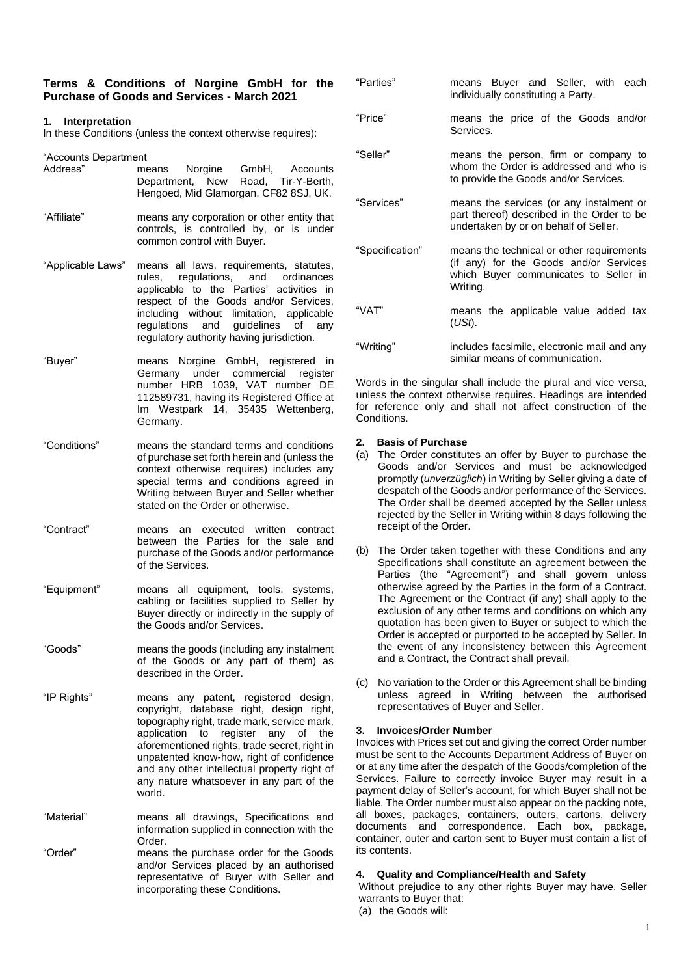#### **Terms & Conditions of Norgine GmbH for the Purchase of Goods and Services - March 2021**

# **1. Interpretation**

In these Conditions (unless the context otherwise requires):

"Accounts Department

- Address" means Norgine GmbH, Accounts Department, New Road, Tir-Y-Berth, Hengoed, Mid Glamorgan, CF82 8SJ, UK. "Affiliate" means any corporation or other entity that controls, is controlled by, or is under common control with Buyer.
- "Applicable Laws" means all laws, requirements, statutes, rules, regulations, and ordinances applicable to the Parties' activities in respect of the Goods and/or Services, including without limitation, applicable<br>regulations and guidelines of any quidelines of any regulatory authority having jurisdiction.
- "Buyer" means Norgine GmbH, registered in Germany under commercial register number HRB 1039, VAT number DE 112589731, having its Registered Office at Im Westpark 14, 35435 Wettenberg, Germany.
- "Conditions" means the standard terms and conditions of purchase set forth herein and (unless the context otherwise requires) includes any special terms and conditions agreed in Writing between Buyer and Seller whether stated on the Order or otherwise.
- "Contract" means an executed written contract between the Parties for the sale and purchase of the Goods and/or performance of the Services.
- "Equipment" means all equipment, tools, systems, cabling or facilities supplied to Seller by Buyer directly or indirectly in the supply of the Goods and/or Services.
- "Goods" means the goods (including any instalment of the Goods or any part of them) as described in the Order.
- "IP Rights" means any patent, registered design, copyright, database right, design right, topography right, trade mark, service mark, application to register any of the aforementioned rights, trade secret, right in unpatented know-how, right of confidence and any other intellectual property right of any nature whatsoever in any part of the world.
- "Material" means all drawings, Specifications and information supplied in connection with the Order. "Order" means the purchase order for the Goods and/or Services placed by an authorised representative of Buyer with Seller and incorporating these Conditions.

| "Parties"       | means Buyer and Seller, with each<br>individually constituting a Party.                                                                  |
|-----------------|------------------------------------------------------------------------------------------------------------------------------------------|
| "Price"         | means the price of the Goods and/or<br>Services.                                                                                         |
| "Seller"        | means the person, firm or company to<br>whom the Order is addressed and who is<br>to provide the Goods and/or Services.                  |
| "Services"      | means the services (or any instalment or<br>part thereof) described in the Order to be<br>undertaken by or on behalf of Seller.          |
| "Specification" | means the technical or other requirements<br>(if any) for the Goods and/or Services<br>which Buyer communicates to Seller in<br>Writing. |
| "VAT"           | means the applicable value added tax<br>(USt).                                                                                           |
| "Writing"       | includes facsimile, electronic mail and any<br>similar means of communication.                                                           |

Words in the singular shall include the plural and vice versa, unless the context otherwise requires. Headings are intended for reference only and shall not affect construction of the Conditions.

## **2. Basis of Purchase**

- (a) The Order constitutes an offer by Buyer to purchase the Goods and/or Services and must be acknowledged promptly (*unverzüglich*) in Writing by Seller giving a date of despatch of the Goods and/or performance of the Services. The Order shall be deemed accepted by the Seller unless rejected by the Seller in Writing within 8 days following the receipt of the Order.
- (b) The Order taken together with these Conditions and any Specifications shall constitute an agreement between the Parties (the "Agreement") and shall govern unless otherwise agreed by the Parties in the form of a Contract. The Agreement or the Contract (if any) shall apply to the exclusion of any other terms and conditions on which any quotation has been given to Buyer or subject to which the Order is accepted or purported to be accepted by Seller. In the event of any inconsistency between this Agreement and a Contract, the Contract shall prevail.
- (c) No variation to the Order or this Agreement shall be binding unless agreed in Writing between the authorised representatives of Buyer and Seller.

#### **3. Invoices/Order Number**

Invoices with Prices set out and giving the correct Order number must be sent to the Accounts Department Address of Buyer on or at any time after the despatch of the Goods/completion of the Services. Failure to correctly invoice Buyer may result in a payment delay of Seller's account, for which Buyer shall not be liable. The Order number must also appear on the packing note, all boxes, packages, containers, outers, cartons, delivery documents and correspondence. Each box, package, container, outer and carton sent to Buyer must contain a list of its contents.

#### **4. Quality and Compliance/Health and Safety**

Without prejudice to any other rights Buyer may have, Seller warrants to Buyer that:

(a) the Goods will: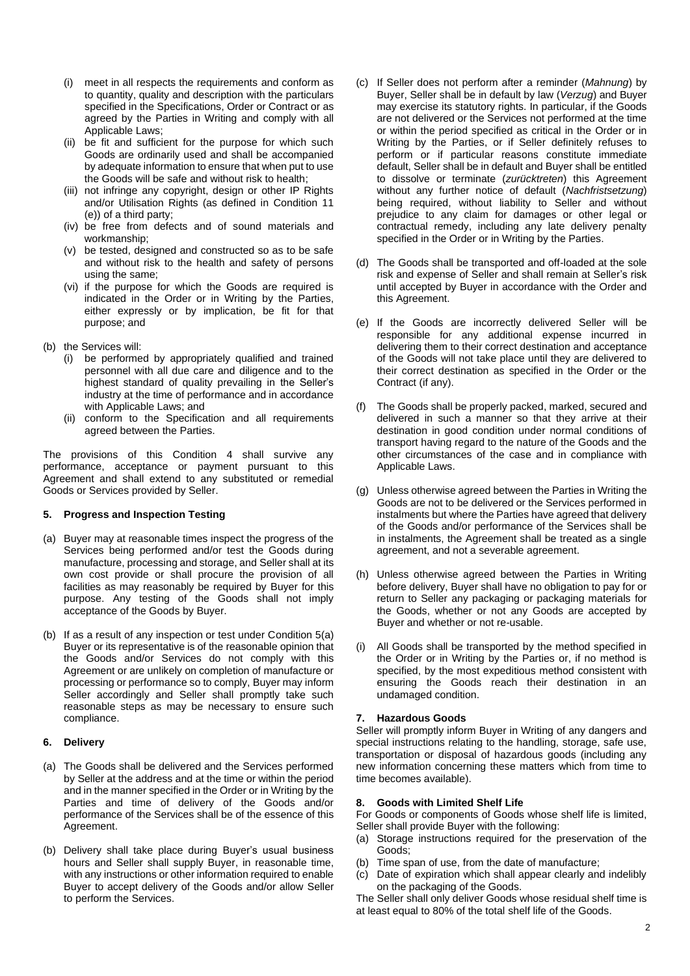- (i) meet in all respects the requirements and conform as to quantity, quality and description with the particulars specified in the Specifications, Order or Contract or as agreed by the Parties in Writing and comply with all Applicable Laws;
- (ii) be fit and sufficient for the purpose for which such Goods are ordinarily used and shall be accompanied by adequate information to ensure that when put to use the Goods will be safe and without risk to health;
- (iii) not infringe any copyright, design or other IP Rights and/or Utilisation Rights (as defined in Condition 11 (e)) of a third party;
- (iv) be free from defects and of sound materials and workmanship;
- (v) be tested, designed and constructed so as to be safe and without risk to the health and safety of persons using the same;
- (vi) if the purpose for which the Goods are required is indicated in the Order or in Writing by the Parties, either expressly or by implication, be fit for that purpose; and
- (b) the Services will:
	- (i) be performed by appropriately qualified and trained personnel with all due care and diligence and to the highest standard of quality prevailing in the Seller's industry at the time of performance and in accordance with Applicable Laws; and
	- (ii) conform to the Specification and all requirements agreed between the Parties.

The provisions of this Condition 4 shall survive any performance, acceptance or payment pursuant to this Agreement and shall extend to any substituted or remedial Goods or Services provided by Seller.

# **5. Progress and Inspection Testing**

- (a) Buyer may at reasonable times inspect the progress of the Services being performed and/or test the Goods during manufacture, processing and storage, and Seller shall at its own cost provide or shall procure the provision of all facilities as may reasonably be required by Buyer for this purpose. Any testing of the Goods shall not imply acceptance of the Goods by Buyer.
- (b) If as a result of any inspection or test under Condition 5(a) Buyer or its representative is of the reasonable opinion that the Goods and/or Services do not comply with this Agreement or are unlikely on completion of manufacture or processing or performance so to comply, Buyer may inform Seller accordingly and Seller shall promptly take such reasonable steps as may be necessary to ensure such compliance.

# **6. Delivery**

- (a) The Goods shall be delivered and the Services performed by Seller at the address and at the time or within the period and in the manner specified in the Order or in Writing by the Parties and time of delivery of the Goods and/or performance of the Services shall be of the essence of this Agreement.
- (b) Delivery shall take place during Buyer's usual business hours and Seller shall supply Buyer, in reasonable time, with any instructions or other information required to enable Buyer to accept delivery of the Goods and/or allow Seller to perform the Services.
- (c) If Seller does not perform after a reminder (*Mahnung*) by Buyer, Seller shall be in default by law (*Verzug*) and Buyer may exercise its statutory rights. In particular, if the Goods are not delivered or the Services not performed at the time or within the period specified as critical in the Order or in Writing by the Parties, or if Seller definitely refuses to perform or if particular reasons constitute immediate default, Seller shall be in default and Buyer shall be entitled to dissolve or terminate (*zurücktreten*) this Agreement without any further notice of default (*Nachfristsetzung*) being required, without liability to Seller and without prejudice to any claim for damages or other legal or contractual remedy, including any late delivery penalty specified in the Order or in Writing by the Parties.
- (d) The Goods shall be transported and off-loaded at the sole risk and expense of Seller and shall remain at Seller's risk until accepted by Buyer in accordance with the Order and this Agreement.
- (e) If the Goods are incorrectly delivered Seller will be responsible for any additional expense incurred in delivering them to their correct destination and acceptance of the Goods will not take place until they are delivered to their correct destination as specified in the Order or the Contract (if any).
- (f) The Goods shall be properly packed, marked, secured and delivered in such a manner so that they arrive at their destination in good condition under normal conditions of transport having regard to the nature of the Goods and the other circumstances of the case and in compliance with Applicable Laws.
- (g) Unless otherwise agreed between the Parties in Writing the Goods are not to be delivered or the Services performed in instalments but where the Parties have agreed that delivery of the Goods and/or performance of the Services shall be in instalments, the Agreement shall be treated as a single agreement, and not a severable agreement.
- (h) Unless otherwise agreed between the Parties in Writing before delivery, Buyer shall have no obligation to pay for or return to Seller any packaging or packaging materials for the Goods, whether or not any Goods are accepted by Buyer and whether or not re-usable.
- All Goods shall be transported by the method specified in the Order or in Writing by the Parties or, if no method is specified, by the most expeditious method consistent with ensuring the Goods reach their destination in an undamaged condition.

# **7. Hazardous Goods**

Seller will promptly inform Buyer in Writing of any dangers and special instructions relating to the handling, storage, safe use, transportation or disposal of hazardous goods (including any new information concerning these matters which from time to time becomes available).

# **8. Goods with Limited Shelf Life**

For Goods or components of Goods whose shelf life is limited, Seller shall provide Buyer with the following:

- (a) Storage instructions required for the preservation of the Goods;
- (b) Time span of use, from the date of manufacture;
- (c) Date of expiration which shall appear clearly and indelibly on the packaging of the Goods.

The Seller shall only deliver Goods whose residual shelf time is at least equal to 80% of the total shelf life of the Goods.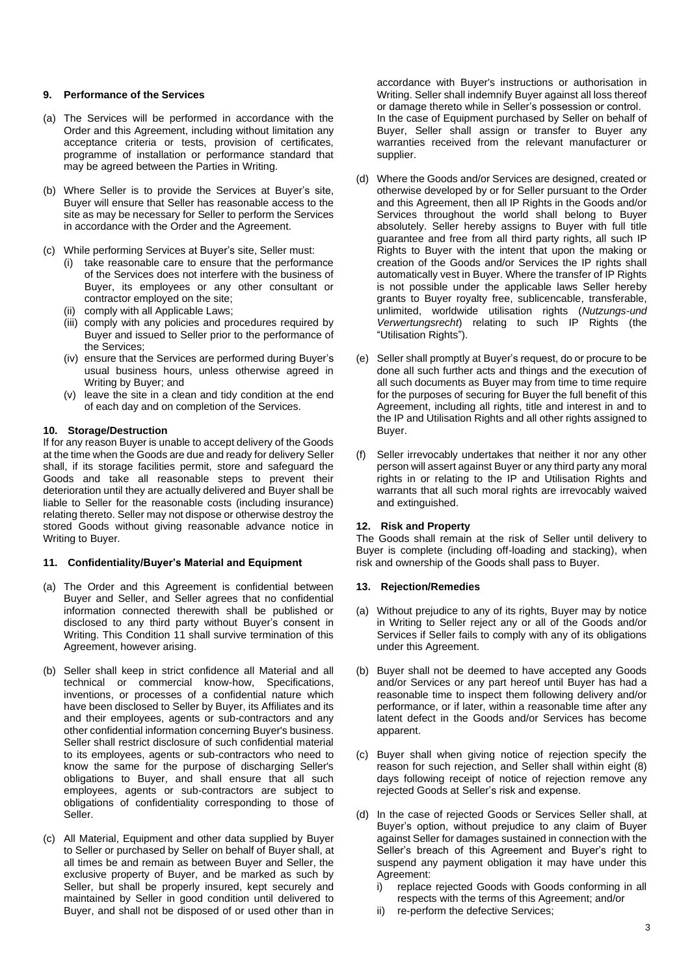# **9. Performance of the Services**

- (a) The Services will be performed in accordance with the Order and this Agreement, including without limitation any acceptance criteria or tests, provision of certificates, programme of installation or performance standard that may be agreed between the Parties in Writing.
- (b) Where Seller is to provide the Services at Buyer's site, Buyer will ensure that Seller has reasonable access to the site as may be necessary for Seller to perform the Services in accordance with the Order and the Agreement.

(c) While performing Services at Buyer's site, Seller must:

- (i) take reasonable care to ensure that the performance of the Services does not interfere with the business of Buyer, its employees or any other consultant or contractor employed on the site;
- (ii) comply with all Applicable Laws;
- (iii) comply with any policies and procedures required by Buyer and issued to Seller prior to the performance of the Services;
- (iv) ensure that the Services are performed during Buyer's usual business hours, unless otherwise agreed in Writing by Buyer; and
- (v) leave the site in a clean and tidy condition at the end of each day and on completion of the Services.

#### **10. Storage/Destruction**

If for any reason Buyer is unable to accept delivery of the Goods at the time when the Goods are due and ready for delivery Seller shall, if its storage facilities permit, store and safeguard the Goods and take all reasonable steps to prevent their deterioration until they are actually delivered and Buyer shall be liable to Seller for the reasonable costs (including insurance) relating thereto. Seller may not dispose or otherwise destroy the stored Goods without giving reasonable advance notice in Writing to Buyer.

## **11. Confidentiality/Buyer's Material and Equipment**

- (a) The Order and this Agreement is confidential between Buyer and Seller, and Seller agrees that no confidential information connected therewith shall be published or disclosed to any third party without Buyer's consent in Writing. This Condition 11 shall survive termination of this Agreement, however arising.
- (b) Seller shall keep in strict confidence all Material and all technical or commercial know-how, Specifications, inventions, or processes of a confidential nature which have been disclosed to Seller by Buyer, its Affiliates and its and their employees, agents or sub-contractors and any other confidential information concerning Buyer's business. Seller shall restrict disclosure of such confidential material to its employees, agents or sub-contractors who need to know the same for the purpose of discharging Seller's obligations to Buyer, and shall ensure that all such employees, agents or sub-contractors are subject to obligations of confidentiality corresponding to those of Seller.
- (c) All Material, Equipment and other data supplied by Buyer to Seller or purchased by Seller on behalf of Buyer shall, at all times be and remain as between Buyer and Seller, the exclusive property of Buyer, and be marked as such by Seller, but shall be properly insured, kept securely and maintained by Seller in good condition until delivered to Buyer, and shall not be disposed of or used other than in

accordance with Buyer's instructions or authorisation in Writing. Seller shall indemnify Buyer against all loss thereof or damage thereto while in Seller's possession or control. In the case of Equipment purchased by Seller on behalf of Buyer, Seller shall assign or transfer to Buyer any warranties received from the relevant manufacturer or supplier.

- (d) Where the Goods and/or Services are designed, created or otherwise developed by or for Seller pursuant to the Order and this Agreement, then all IP Rights in the Goods and/or Services throughout the world shall belong to Buyer absolutely. Seller hereby assigns to Buyer with full title guarantee and free from all third party rights, all such IP Rights to Buyer with the intent that upon the making or creation of the Goods and/or Services the IP rights shall automatically vest in Buyer. Where the transfer of IP Rights is not possible under the applicable laws Seller hereby grants to Buyer royalty free, sublicencable, transferable, unlimited, worldwide utilisation rights (*Nutzungs-und Verwertungsrecht*) relating to such IP Rights (the "Utilisation Rights").
- (e) Seller shall promptly at Buyer's request, do or procure to be done all such further acts and things and the execution of all such documents as Buyer may from time to time require for the purposes of securing for Buyer the full benefit of this Agreement, including all rights, title and interest in and to the IP and Utilisation Rights and all other rights assigned to Buyer.
- (f) Seller irrevocably undertakes that neither it nor any other person will assert against Buyer or any third party any moral rights in or relating to the IP and Utilisation Rights and warrants that all such moral rights are irrevocably waived and extinguished.

#### **12. Risk and Property**

The Goods shall remain at the risk of Seller until delivery to Buyer is complete (including off-loading and stacking), when risk and ownership of the Goods shall pass to Buyer.

#### **13. Rejection/Remedies**

- (a) Without prejudice to any of its rights, Buyer may by notice in Writing to Seller reject any or all of the Goods and/or Services if Seller fails to comply with any of its obligations under this Agreement.
- (b) Buyer shall not be deemed to have accepted any Goods and/or Services or any part hereof until Buyer has had a reasonable time to inspect them following delivery and/or performance, or if later, within a reasonable time after any latent defect in the Goods and/or Services has become apparent.
- (c) Buyer shall when giving notice of rejection specify the reason for such rejection, and Seller shall within eight (8) days following receipt of notice of rejection remove any rejected Goods at Seller's risk and expense.
- (d) In the case of rejected Goods or Services Seller shall, at Buyer's option, without prejudice to any claim of Buyer against Seller for damages sustained in connection with the Seller's breach of this Agreement and Buyer's right to suspend any payment obligation it may have under this Agreement:
	- i) replace rejected Goods with Goods conforming in all respects with the terms of this Agreement; and/or
	- re-perform the defective Services;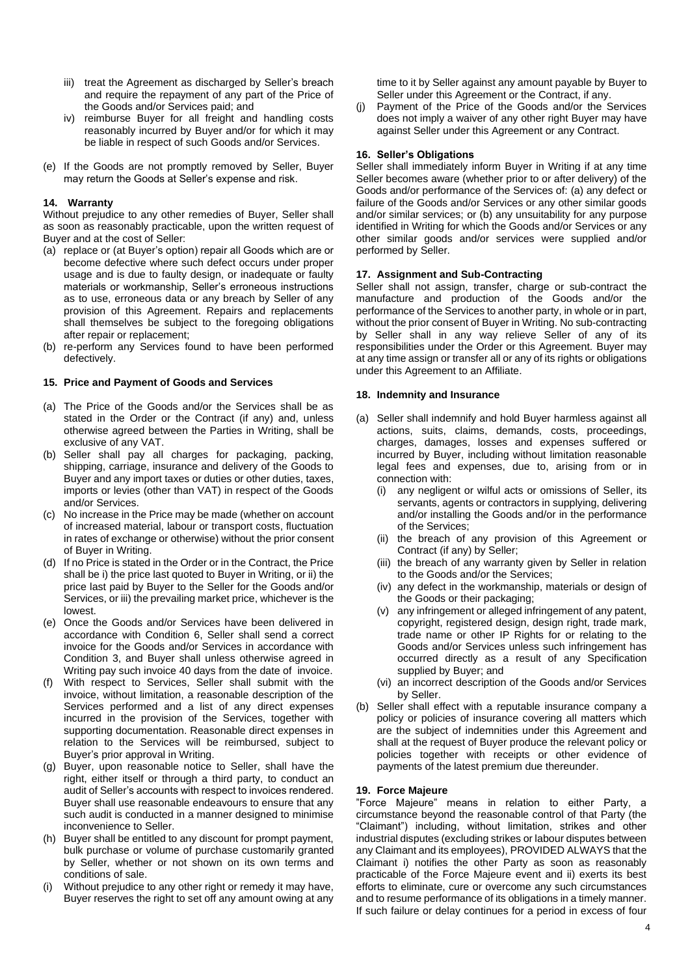- iii) treat the Agreement as discharged by Seller's breach and require the repayment of any part of the Price of the Goods and/or Services paid; and
- iv) reimburse Buyer for all freight and handling costs reasonably incurred by Buyer and/or for which it may be liable in respect of such Goods and/or Services.
- (e) If the Goods are not promptly removed by Seller, Buyer may return the Goods at Seller's expense and risk.

# **14. Warranty**

Without prejudice to any other remedies of Buyer, Seller shall as soon as reasonably practicable, upon the written request of Buyer and at the cost of Seller:

- (a) replace or (at Buyer's option) repair all Goods which are or become defective where such defect occurs under proper usage and is due to faulty design, or inadequate or faulty materials or workmanship, Seller's erroneous instructions as to use, erroneous data or any breach by Seller of any provision of this Agreement. Repairs and replacements shall themselves be subject to the foregoing obligations after repair or replacement;
- (b) re-perform any Services found to have been performed defectively.

#### **15. Price and Payment of Goods and Services**

- (a) The Price of the Goods and/or the Services shall be as stated in the Order or the Contract (if any) and, unless otherwise agreed between the Parties in Writing, shall be exclusive of any VAT.
- (b) Seller shall pay all charges for packaging, packing, shipping, carriage, insurance and delivery of the Goods to Buyer and any import taxes or duties or other duties, taxes, imports or levies (other than VAT) in respect of the Goods and/or Services.
- (c) No increase in the Price may be made (whether on account of increased material, labour or transport costs, fluctuation in rates of exchange or otherwise) without the prior consent of Buyer in Writing.
- (d) If no Price is stated in the Order or in the Contract, the Price shall be i) the price last quoted to Buyer in Writing, or ii) the price last paid by Buyer to the Seller for the Goods and/or Services, or iii) the prevailing market price, whichever is the lowest.
- (e) Once the Goods and/or Services have been delivered in accordance with Condition 6, Seller shall send a correct invoice for the Goods and/or Services in accordance with Condition 3, and Buyer shall unless otherwise agreed in Writing pay such invoice 40 days from the date of invoice.
- (f) With respect to Services, Seller shall submit with the invoice, without limitation, a reasonable description of the Services performed and a list of any direct expenses incurred in the provision of the Services, together with supporting documentation. Reasonable direct expenses in relation to the Services will be reimbursed, subject to Buyer's prior approval in Writing.
- (g) Buyer, upon reasonable notice to Seller, shall have the right, either itself or through a third party, to conduct an audit of Seller's accounts with respect to invoices rendered. Buyer shall use reasonable endeavours to ensure that any such audit is conducted in a manner designed to minimise inconvenience to Seller.
- (h) Buyer shall be entitled to any discount for prompt payment, bulk purchase or volume of purchase customarily granted by Seller, whether or not shown on its own terms and conditions of sale.
- (i) Without prejudice to any other right or remedy it may have, Buyer reserves the right to set off any amount owing at any

time to it by Seller against any amount payable by Buyer to Seller under this Agreement or the Contract, if any.

(j) Payment of the Price of the Goods and/or the Services does not imply a waiver of any other right Buyer may have against Seller under this Agreement or any Contract.

## **16. Seller's Obligations**

Seller shall immediately inform Buyer in Writing if at any time Seller becomes aware (whether prior to or after delivery) of the Goods and/or performance of the Services of: (a) any defect or failure of the Goods and/or Services or any other similar goods and/or similar services; or (b) any unsuitability for any purpose identified in Writing for which the Goods and/or Services or any other similar goods and/or services were supplied and/or performed by Seller.

## **17. Assignment and Sub-Contracting**

Seller shall not assign, transfer, charge or sub-contract the manufacture and production of the Goods and/or the performance of the Services to another party, in whole or in part, without the prior consent of Buyer in Writing. No sub-contracting by Seller shall in any way relieve Seller of any of its responsibilities under the Order or this Agreement. Buyer may at any time assign or transfer all or any of its rights or obligations under this Agreement to an Affiliate.

## **18. Indemnity and Insurance**

- (a) Seller shall indemnify and hold Buyer harmless against all actions, suits, claims, demands, costs, proceedings, charges, damages, losses and expenses suffered or incurred by Buyer, including without limitation reasonable legal fees and expenses, due to, arising from or in connection with:
	- (i) any negligent or wilful acts or omissions of Seller, its servants, agents or contractors in supplying, delivering and/or installing the Goods and/or in the performance of the Services;
	- (ii) the breach of any provision of this Agreement or Contract (if any) by Seller;
	- (iii) the breach of any warranty given by Seller in relation to the Goods and/or the Services;
	- (iv) any defect in the workmanship, materials or design of the Goods or their packaging;
	- (v) any infringement or alleged infringement of any patent, copyright, registered design, design right, trade mark, trade name or other IP Rights for or relating to the Goods and/or Services unless such infringement has occurred directly as a result of any Specification supplied by Buyer; and
	- (vi) an incorrect description of the Goods and/or Services by Seller.
- (b) Seller shall effect with a reputable insurance company a policy or policies of insurance covering all matters which are the subject of indemnities under this Agreement and shall at the request of Buyer produce the relevant policy or policies together with receipts or other evidence of payments of the latest premium due thereunder.

#### **19. Force Majeure**

"Force Majeure" means in relation to either Party, a circumstance beyond the reasonable control of that Party (the "Claimant") including, without limitation, strikes and other industrial disputes (excluding strikes or labour disputes between any Claimant and its employees), PROVIDED ALWAYS that the Claimant i) notifies the other Party as soon as reasonably practicable of the Force Majeure event and ii) exerts its best efforts to eliminate, cure or overcome any such circumstances and to resume performance of its obligations in a timely manner. If such failure or delay continues for a period in excess of four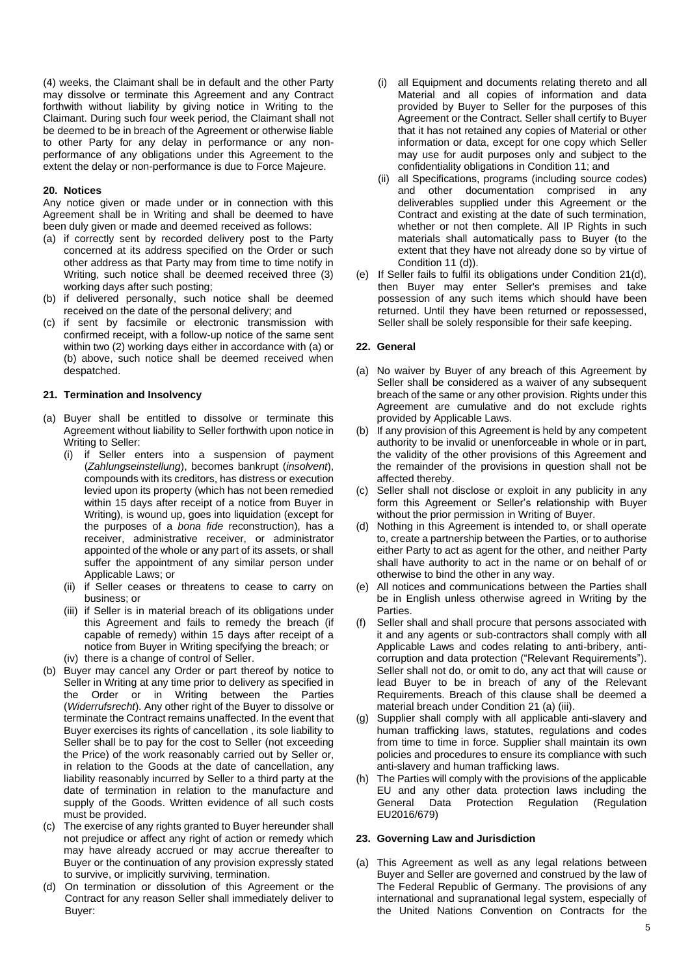(4) weeks, the Claimant shall be in default and the other Party may dissolve or terminate this Agreement and any Contract forthwith without liability by giving notice in Writing to the Claimant. During such four week period, the Claimant shall not be deemed to be in breach of the Agreement or otherwise liable to other Party for any delay in performance or any nonperformance of any obligations under this Agreement to the extent the delay or non-performance is due to Force Majeure.

#### **20. Notices**

Any notice given or made under or in connection with this Agreement shall be in Writing and shall be deemed to have been duly given or made and deemed received as follows:

- (a) if correctly sent by recorded delivery post to the Party concerned at its address specified on the Order or such other address as that Party may from time to time notify in Writing, such notice shall be deemed received three (3) working days after such posting;
- (b) if delivered personally, such notice shall be deemed received on the date of the personal delivery; and
- (c) if sent by facsimile or electronic transmission with confirmed receipt, with a follow-up notice of the same sent within two (2) working days either in accordance with (a) or (b) above, such notice shall be deemed received when despatched.

## **21. Termination and Insolvency**

- (a) Buyer shall be entitled to dissolve or terminate this Agreement without liability to Seller forthwith upon notice in Writing to Seller:
	- (i) if Seller enters into a suspension of payment (*Zahlungseinstellung*), becomes bankrupt (*insolvent*), compounds with its creditors, has distress or execution levied upon its property (which has not been remedied within 15 days after receipt of a notice from Buyer in Writing), is wound up, goes into liquidation (except for the purposes of a *bona fide* reconstruction), has a receiver, administrative receiver, or administrator appointed of the whole or any part of its assets, or shall suffer the appointment of any similar person under Applicable Laws; or
	- (ii) if Seller ceases or threatens to cease to carry on business; or
	- (iii) if Seller is in material breach of its obligations under this Agreement and fails to remedy the breach (if capable of remedy) within 15 days after receipt of a notice from Buyer in Writing specifying the breach; or
	- (iv) there is a change of control of Seller.
- (b) Buyer may cancel any Order or part thereof by notice to Seller in Writing at any time prior to delivery as specified in the Order or in Writing between the Parties (*Widerrufsrecht*). Any other right of the Buyer to dissolve or terminate the Contract remains unaffected. In the event that Buyer exercises its rights of cancellation , its sole liability to Seller shall be to pay for the cost to Seller (not exceeding the Price) of the work reasonably carried out by Seller or, in relation to the Goods at the date of cancellation, any liability reasonably incurred by Seller to a third party at the date of termination in relation to the manufacture and supply of the Goods. Written evidence of all such costs must be provided.
- (c) The exercise of any rights granted to Buyer hereunder shall not prejudice or affect any right of action or remedy which may have already accrued or may accrue thereafter to Buyer or the continuation of any provision expressly stated to survive, or implicitly surviving, termination.
- (d) On termination or dissolution of this Agreement or the Contract for any reason Seller shall immediately deliver to Buyer:
- (i) all Equipment and documents relating thereto and all Material and all copies of information and data provided by Buyer to Seller for the purposes of this Agreement or the Contract. Seller shall certify to Buyer that it has not retained any copies of Material or other information or data, except for one copy which Seller may use for audit purposes only and subject to the confidentiality obligations in Condition 11; and
- (ii) all Specifications, programs (including source codes) and other documentation comprised in any deliverables supplied under this Agreement or the Contract and existing at the date of such termination, whether or not then complete. All IP Rights in such materials shall automatically pass to Buyer (to the extent that they have not already done so by virtue of Condition 11 (d)).
- (e) If Seller fails to fulfil its obligations under Condition 21(d), then Buyer may enter Seller's premises and take possession of any such items which should have been returned. Until they have been returned or repossessed, Seller shall be solely responsible for their safe keeping.

# **22. General**

- (a) No waiver by Buyer of any breach of this Agreement by Seller shall be considered as a waiver of any subsequent breach of the same or any other provision. Rights under this Agreement are cumulative and do not exclude rights provided by Applicable Laws.
- (b) If any provision of this Agreement is held by any competent authority to be invalid or unenforceable in whole or in part, the validity of the other provisions of this Agreement and the remainder of the provisions in question shall not be affected thereby.
- (c) Seller shall not disclose or exploit in any publicity in any form this Agreement or Seller's relationship with Buyer without the prior permission in Writing of Buyer.
- (d) Nothing in this Agreement is intended to, or shall operate to, create a partnership between the Parties, or to authorise either Party to act as agent for the other, and neither Party shall have authority to act in the name or on behalf of or otherwise to bind the other in any way.
- (e) All notices and communications between the Parties shall be in English unless otherwise agreed in Writing by the Parties.
- (f) Seller shall and shall procure that persons associated with it and any agents or sub-contractors shall comply with all Applicable Laws and codes relating to anti-bribery, anticorruption and data protection ("Relevant Requirements"). Seller shall not do, or omit to do, any act that will cause or lead Buyer to be in breach of any of the Relevant Requirements. Breach of this clause shall be deemed a material breach under Condition 21 (a) (iii).
- (g) Supplier shall comply with all applicable anti-slavery and human trafficking laws, statutes, regulations and codes from time to time in force. Supplier shall maintain its own policies and procedures to ensure its compliance with such anti-slavery and human trafficking laws.
- (h) The Parties will comply with the provisions of the applicable EU and any other data protection laws including the General Data Protection Regulation (Regulation EU2016/679)

#### **23. Governing Law and Jurisdiction**

(a) This Agreement as well as any legal relations between Buyer and Seller are governed and construed by the law of The Federal Republic of Germany. The provisions of any international and supranational legal system, especially of the United Nations Convention on Contracts for the